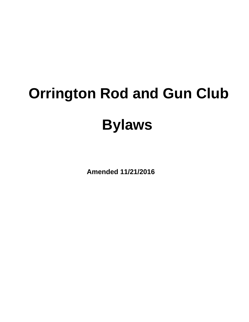# **Orrington Rod and Gun Club Bylaws**

**Amended 11/21/2016**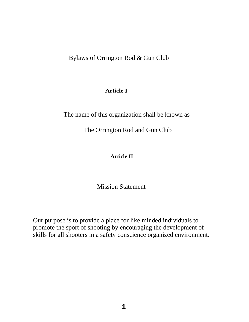Bylaws of Orrington Rod & Gun Club

## **Article I**

The name of this organization shall be known as

The Orrington Rod and Gun Club

# **Article II**

Mission Statement

Our purpose is to provide a place for like minded individuals to promote the sport of shooting by encouraging the development of skills for all shooters in a safety conscience organized environment.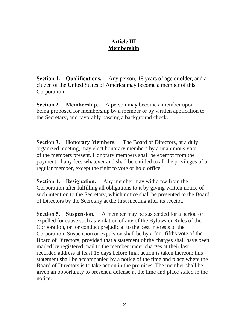## **Article III Membership**

**Section 1. Qualifications.** Any person, 18 years of age or older, and a citizen of the United States of America may become a member of this Corporation.

**Section 2. Membership.** A person may become a member upon being proposed for membership by a member or by written application to the Secretary, and favorably passing a background check.

**Section 3. Honorary Members.** The Board of Directors, at a duly organized meeting, may elect honorary members by a unanimous vote of the members present. Honorary members shall be exempt from the payment of any fees whatever and shall be entitled to all the privileges of a regular member, except the right to vote or hold office.

**Section 4. Resignation.** Any member may withdraw from the Corporation after fulfilling all obligations to it by giving written notice of such intention to the Secretary, which notice shall be presented to the Board of Directors by the Secretary at the first meeting after its receipt.

**Section 5. Suspension.** A member may be suspended for a period or expelled for cause such as violation of any of the Bylaws or Rules of the Corporation, or for conduct prejudicial to the best interests of the Corporation. Suspension or expulsion shall be by a four fifths vote of the Board of Directors, provided that a statement of the charges shall have been mailed by registered mail to the member under charges at their last recorded address at least 15 days before final action is taken thereon; this statement shall be accompanied by a notice of the time and place where the Board of Directors is to take action in the premises. The member shall be given an opportunity to present a defense at the time and place stated in the notice.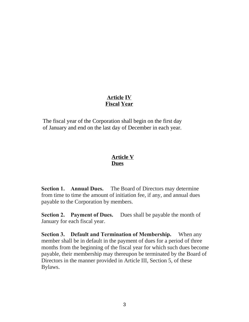# **Article IV Fiscal Year**

The fiscal year of the Corporation shall begin on the first day of January and end on the last day of December in each year.

## **Article V Dues**

**Section 1. Annual Dues.** The Board of Directors may determine from time to time the amount of initiation fee, if any, and annual dues payable to the Corporation by members.

**Section 2. Payment of Dues.** Dues shall be payable the month of January for each fiscal year.

**Section 3. Default and Termination of Membership.** When any member shall be in default in the payment of dues for a period of three months from the beginning of the fiscal year for which such dues become payable, their membership may thereupon be terminated by the Board of Directors in the manner provided in Article III, Section 5, of these Bylaws.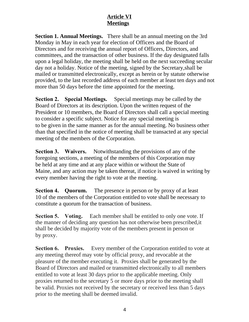# **Article VI Meetings**

**Section 1. Annual Meetings.** There shall be an annual meeting on the 3rd Monday in May in each year for election of Officers and the Board of Directors and for receiving the annual report of Officers, Directors, and committees, and the transaction of other business. If the day designated falls upon a legal holiday, the meeting shall be held on the next succeeding secular day not a holiday. Notice of the meeting, signed by the Secretary,shall be mailed or transmitted electronically, except as herein or by statute otherwise provided, to the last recorded address of each member at least ten days and not more than 50 days before the time appointed for the meeting.

**Section 2. Special Meetings.** Special meetings may be called by the Board of Directors at its description. Upon the written request of the President or 10 members, the Board of Directors shall call a special meeting to consider a specific subject. Notice for any special meeting is to be given in the same manner as for the annual meeting. No business other than that specified in the notice of meeting shall be transacted at any special meeting of the members of the Corporation.

**Section 3. Waivers.** Notwithstanding the provisions of any of the foregoing sections, a meeting of the members of this Corporation may be held at any time and at any place within or without the State of Maine, and any action may be taken thereat, if notice is waived in writing by every member having the right to vote at the meeting.

**Section 4. Quorum.** The presence in person or by proxy of at least 10 of the members of the Corporation entitled to vote shall be necessary to constitute a quorum for the transaction of business.

**Section 5. Voting.** Each member shall be entitled to only one vote. If the manner of deciding any question has not otherwise been prescribed,it shall be decided by majority vote of the members present in person or by proxy.

**Section 6. Proxies.** Every member of the Corporation entitled to vote at any meeting thereof may vote by official proxy, and revocable at the pleasure of the member executing it. Proxies shall be generated by the Board of Directors and mailed or transmitted electronically to all members entitled to vote at least 30 days prior to the applicable meeting. Only proxies returned to the secretary 5 or more days prior to the meeting shall be valid. Proxies not received by the secretary or received less than 5 days prior to the meeting shall be deemed invalid.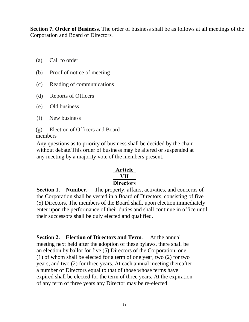**Section 7. Order of Business.** The order of business shall be as follows at all meetings of the Corporation and Board of Directors.

- (a) Call to order
- (b) Proof of notice of meeting
- (c) Reading of communications
- (d) Reports of Officers
- (e) Old business
- (f) New business
- (g) Election of Officers and Board members

Any questions as to priority of business shall be decided by the chair without debate.This order of business may be altered or suspended at any meeting by a majority vote of the members present.

## **Article VII Directors**

**Section 1. Number.** The property, affairs, activities, and concerns of the Corporation shall be vested in a Board of Directors, consisting of five (5) Directors. The members of the Board shall, upon election,immediately enter upon the performance of their duties and shall continue in office until their successors shall be duly elected and qualified.

**Section 2. Election of Directors and Term**. At the annual meeting next held after the adoption of these bylaws, there shall be an election by ballot for five (5) Directors of the Corporation, one (1) of whom shall be elected for a term of one year, two (2) for two years, and two (2) for three years. At each annual meeting thereafter a number of Directors equal to that of those whose terms have expired shall be elected for the term of three years. At the expiration of any term of three years any Director may be re-elected.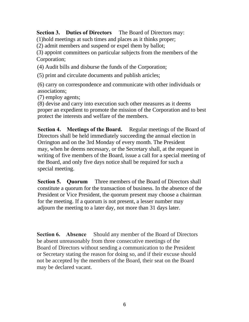**Section 3. Duties of Directors** The Board of Directors may:

(1)hold meetings at such times and places as it thinks proper;

(2) admit members and suspend or expel them by ballot;

(3) appoint committees on particular subjects from the members of the Corporation;

(4) Audit bills and disburse the funds of the Corporation;

(5) print and circulate documents and publish articles;

(6) carry on correspondence and communicate with other individuals or associations;

(7) employ agents;

(8) devise and carry into execution such other measures as it deems proper an expedient to promote the mission of the Corporation and to best protect the interests and welfare of the members.

**Section 4. Meetings of the Board.** Regular meetings of the Board of Directors shall be held immediately succeeding the annual election in Orrington and on the 3rd Monday of every month. The President may, when he deems necessary, or the Secretary shall, at the request in writing of five members of the Board, issue a call for a special meeting of the Board, and only five days notice shall be required for such a special meeting.

**Section 5. Quorum** Three members of the Board of Directors shall constitute a quorum for the transaction of business. In the absence of the President or Vice President, the quorum present may choose a chairman for the meeting. If a quorum is not present, a lesser number may adjourn the meeting to a later day, not more than 31 days later.

**Section 6. Absence** Should any member of the Board of Directors be absent unreasonably from three consecutive meetings of the Board of Directors without sending a communication to the President or Secretary stating the reason for doing so, and if their excuse should not be accepted by the members of the Board, their seat on the Board may be declared vacant.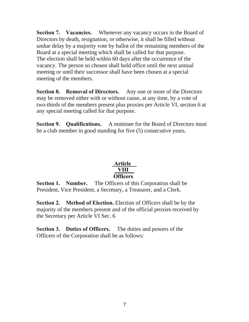**Section 7. Vacancies.** Whenever any vacancy occurs in the Board of Directors by death, resignation, or otherwise, it shall be filled without undue delay by a majority vote by ballot of the remaining members of the Board at a special meeting which shall be called for that purpose. The election shall be held within 60 days after the occurrence of the vacancy. The person so chosen shall hold office until the next annual meeting or until their successor shall have been chosen at a special meeting of the members.

**Section 8. Removal of Directors.** Any one or more of the Directors may be removed either with or without cause, at any time, by a vote of two-thirds of the members present plus proxies per Article VI, section 6 at any special meeting called for that purpose.

**Section 9. Qualifications.** A nominee for the Board of Directors must be a club member in good standing for five (5) consecutive years.

## **Article VIII Officers**

**Section 1. Number.** The Officers of this Corporation shall be President, Vice President, a Secretary, a Treasurer, and a Clerk.

**Section 2. Method of Election.** Election of Officers shall be by the majority of the members present and of the official proxies received by the Secretary per Article VI Sec. 6

**Section 3. Duties of Officers.** The duties and powers of the Officers of the Corporation shall be as follows: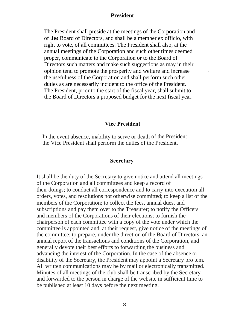#### **President**

The President shall preside at the meetings of the Corporation and of the Board of Directors, and shall be a member ex officio, with right to vote, of all committees. The President shall also, at the annual meetings of the Corporation and such other times deemed proper, communicate to the Corporation or to the Board of Directors such matters and make such suggestions as may in their opinion tend to promote the prosperity and welfare and increase the usefulness of the Corporation and shall perform such other duties as are necessarily incident to the office of the President. The President, prior to the start of the fiscal year, shall submit to the Board of Directors a proposed budget for the next fiscal year.

.

#### **Vice President**

In the event absence, inability to serve or death of the President the Vice President shall perform the duties of the President.

#### **Secretary**

It shall be the duty of the Secretary to give notice and attend all meetings of the Corporation and all committees and keep a record of their doings; to conduct all correspondence and to carry into execution all orders, votes, and resolutions not otherwise committed; to keep a list of the members of the Corporation; to collect the fees, annual dues, and subscriptions and pay them over to the Treasurer; to notify the Officers and members of the Corporations of their elections; to furnish the chairperson of each committee with a copy of the vote under which the committee is appointed and, at their request, give notice of the meetings of the committee; to prepare, under the direction of the Board of Directors, an annual report of the transactions and conditions of the Corporation, and generally devote their best efforts to forwarding the business and advancing the interest of the Corporation. In the case of the absence or disability of the Secretary, the President may appoint a Secretary pro tem. All written communications may be by mail or electronically transmitted. Minutes of all meetings of the club shall be transcribed by the Secretary and forwarded to the person in charge of the website in sufficient time to be published at least 10 days before the next meeting.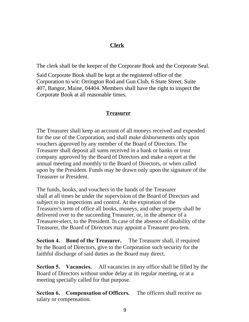# **Clerk**

The clerk shall be the keeper of the Corporate Book and the Corporate Seal.

Said Corporate Book shall be kept at the registered office of the Corporation to wit: Orrington Rod and Gun Club, 6 State Street, Suite 407, Bangor, Maine, 04404. Members shall have the right to inspect the Corporate Book at all reasonable times.

# **Treasurer**

The Treasurer shall keep an account of all moneys received and expended for the use of the Corporation, and shall make disbursements only upon vouchers approved by any member of the Board of Directors. The Treasurer shall deposit all sums received in a bank or banks or trust company approved by the Board of Directors and make a report at the annual meeting and monthly to the Board of Directors, or when called upon by the President. Funds may be drawn only upon the signature of the Treasurer or President.

The funds, books, and vouchers in the hands of the Treasurer shall at all times be under the supervision of the Board of Directors and subject to its inspections and control. At the expiration of the Treasurer's term of office all books, moneys, and other property shall be delivered over to the succeeding Treasurer, or, in the absence of a Treasurer-elect, to the President. In case of the absence of disability of the Treasurer, the Board of Directors may appoint a Treasurer pro-tem.

**Section 4. Bond of the Treasurer.** The Treasurer shall, if required by the Board of Directors, give to the Corporation such security for the faithful discharge of said duties as the Board may direct.

**Section 5. Vacancies.** All vacancies in any office shall be filled by the Board of Directors without undue delay at its regular meeting, or at a meeting specially called for that purpose.

**Section 6. Compensation of Officers.** The officers shall receive no salary or compensation.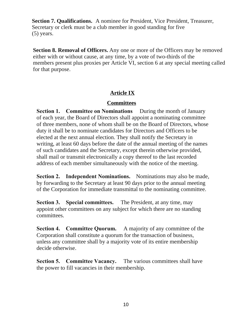**Section 7. Qualifications.** A nominee for President, Vice President, Treasurer, Secretary or clerk must be a club member in good standing for five (5) years.

**Section 8. Removal of Officers.** Any one or more of the Officers may be removed either with or without cause, at any time, by a vote of two-thirds of the members present plus proxies per Article VI, section 6 at any special meeting called for that purpose.

# **Article IX**

# **Committees**

**Section 1. Committee on Nominations** During the month of January of each year, the Board of Directors shall appoint a nominating committee of three members, none of whom shall be on the Board of Directors, whose duty it shall be to nominate candidates for Directors and Officers to be elected at the next annual election. They shall notify the Secretary in writing, at least 60 days before the date of the annual meeting of the names of such candidates and the Secretary, except therein otherwise provided, shall mail or transmit electronically a copy thereof to the last recorded address of each member simultaneously with the notice of the meeting.

**Section 2. Independent Nominations.** Nominations may also be made, by forwarding to the Secretary at least 90 days prior to the annual meeting of the Corporation for immediate transmittal to the nominating committee.

**Section 3. Special committees.** The President, at any time, may appoint other committees on any subject for which there are no standing committees.

**Section 4. Committee Quorum.** A majority of any committee of the Corporation shall constitute a quorum for the transaction of business, unless any committee shall by a majority vote of its entire membership decide otherwise.

**Section 5. Committee Vacancy.** The various committees shall have the power to fill vacancies in their membership.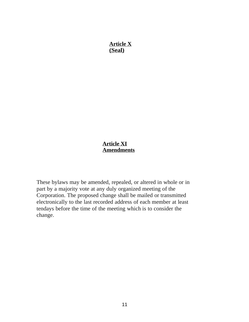**Article X (Seal)**

## **Article XI Amendments**

These bylaws may be amended, repealed, or altered in whole or in part by a majority vote at any duly organized meeting of the Corporation. The proposed change shall be mailed or transmitted electronically to the last recorded address of each member at least tendays before the time of the meeting which is to consider the change.